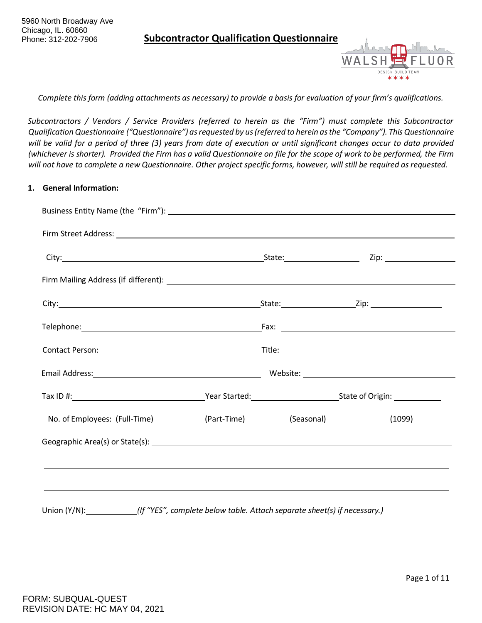

*Complete this form (adding attachments as necessary) to provide a basis for evaluation of your firm's qualifications.*

*Subcontractors / Vendors / Service Providers (referred to herein as the "Firm") must complete this Subcontractor Qualification Questionnaire ("Questionnaire") as requested by us (referred to herein as the "Company"). This Questionnaire will be valid for a period of three (3) years from date of execution or until significant changes occur to data provided* (whichever is shorter). Provided the Firm has a valid Questionnaire on file for the scope of work to be performed, the Firm *will not have to complete a new Questionnaire. Other project specific forms, however, will still be required as requested.*

#### **1. General Information:**

| No. of Employees: (Full-Time) ____________(Part-Time) _________(Seasonal) _______________(1099) __________                                                                                                                     |  |  |
|--------------------------------------------------------------------------------------------------------------------------------------------------------------------------------------------------------------------------------|--|--|
| Geographic Area(s) or State(s): 1999. The Contract of the Contract of the Contract of the Contract of the Contract of the Contract of the Contract of the Contract of the Contract of the Contract of the Contract of the Cont |  |  |
|                                                                                                                                                                                                                                |  |  |
|                                                                                                                                                                                                                                |  |  |
|                                                                                                                                                                                                                                |  |  |

Union (Y/N): *(If "YES", complete below table. Attach separate sheet(s) if necessary.)*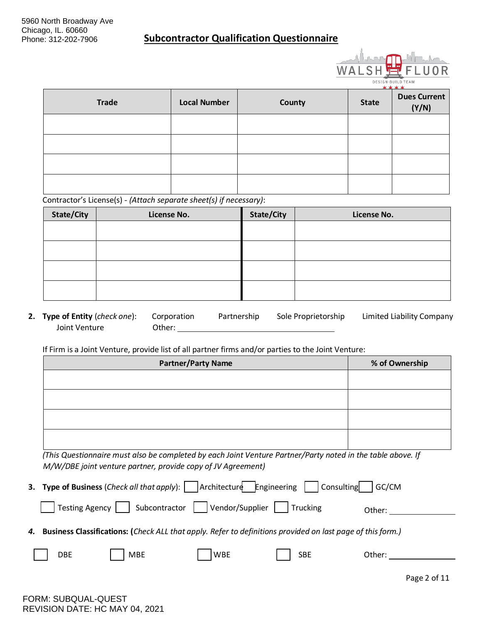

| <b>Trade</b> | <b>Local Number</b> | County | <b>State</b> | $\ddot{\phantom{1}}$<br><b>Dues Current</b><br>(Y/N) |
|--------------|---------------------|--------|--------------|------------------------------------------------------|
|              |                     |        |              |                                                      |
|              |                     |        |              |                                                      |
|              |                     |        |              |                                                      |
|              |                     |        |              |                                                      |

Contractor's License(s) - *(Attach separate sheet(s) if necessary)*:

| <b>State/City</b> | License No. | State/City | License No. |
|-------------------|-------------|------------|-------------|
|                   |             |            |             |
|                   |             |            |             |
|                   |             |            |             |
|                   |             |            |             |
|                   |             |            |             |
|                   |             |            |             |

**2. Type of Entity** (*check one*): Corporation Partnership Sole Proprietorship Joint Venture Other: Joint Venture Limited Liability Company

If Firm is a Joint Venture, provide list of all partner firms and/or parties to the Joint Venture:

| <b>Partner/Party Name</b> | % of Ownership |
|---------------------------|----------------|
|                           |                |
|                           |                |
|                           |                |
|                           |                |
|                           |                |
|                           |                |

*(This Questionnaire must also be completed by each Joint Venture Partner/Party noted in the table above. If M/W/DBE joint venture partner, provide copy of JV Agreement)*

|            | <b>3.</b> Type of Business ( <i>Check all that apply</i> ): $\vert$ $\vert$ Architecture <b>Engineering</b> |            | Consulting                                                                                                    | GC/CM  |
|------------|-------------------------------------------------------------------------------------------------------------|------------|---------------------------------------------------------------------------------------------------------------|--------|
|            | Testing Agency     Subcontractor     Vendor/Supplier     Trucking                                           |            |                                                                                                               | Other: |
|            |                                                                                                             |            | 4. Business Classifications: (Check ALL that apply. Refer to definitions provided on last page of this form.) |        |
| <b>DBE</b> | MBE                                                                                                         | <b>WBE</b> | <b>SBE</b>                                                                                                    | Other: |
|            |                                                                                                             |            |                                                                                                               |        |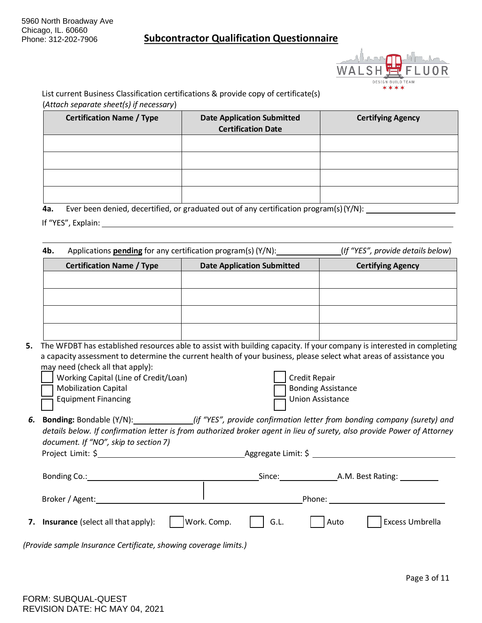

List current Business Classification certifications & provide copy of certificate(s) (*Attach separate sheet(s) if necessary*)

| <b>Certification Name / Type</b> | <b>Date Application Submitted</b><br><b>Certification Date</b> | <b>Certifying Agency</b> |
|----------------------------------|----------------------------------------------------------------|--------------------------|
|                                  |                                                                |                          |
|                                  |                                                                |                          |
|                                  |                                                                |                          |
|                                  |                                                                |                          |

**4a.** Ever been denied, decertified, or graduated out of any certification program(s)(Y/N):

If "YES", Explain:

**4b.** Applications **pending** for any certification program(s)  $(Y/N)$ : (*If "YES", provide details below*)

| <b>Certification Name / Type</b> | <b>Date Application Submitted</b> | <b>Certifying Agency</b> |
|----------------------------------|-----------------------------------|--------------------------|
|                                  |                                   |                          |
|                                  |                                   |                          |
|                                  |                                   |                          |
|                                  |                                   |                          |
|                                  |                                   |                          |
|                                  |                                   |                          |

**5.** The WFDBT has established resources able to assist with building capacity. If your company is interested in completing a capacity assessment to determine the current health of your business, please select what areas of assistance you may need (check all that apply):

| Working Capital (Line of Credit/Loan) | Credit Repair        |
|---------------------------------------|----------------------|
| <b>Mobilization Capital</b>           | □ Bonding Assistance |
| $\equiv$ Equipment Financing          | Union Assistance     |

*6.* **Bonding:** Bondable (Y/N): *(if "YES", provide confirmation letter from bonding company (surety) and details below. If confirmation letter is from authorized broker agent in lieu of surety, also provide Power of Attorney document. If "NO", skip to section 7)*

| Project | Aggregate |
|---------|-----------|
| Limit:  | Limit: S  |

| Bonding Co.:                          |             | Since: |        | A.M. Best Rating:      |
|---------------------------------------|-------------|--------|--------|------------------------|
| Broker / Agent:                       |             |        | Phone: |                        |
| 7. Insurance (select all that apply): | Work. Comp. | G.L.   | Auto   | <b>Excess Umbrella</b> |

*(Provide sample Insurance Certificate, showing coverage limits.)*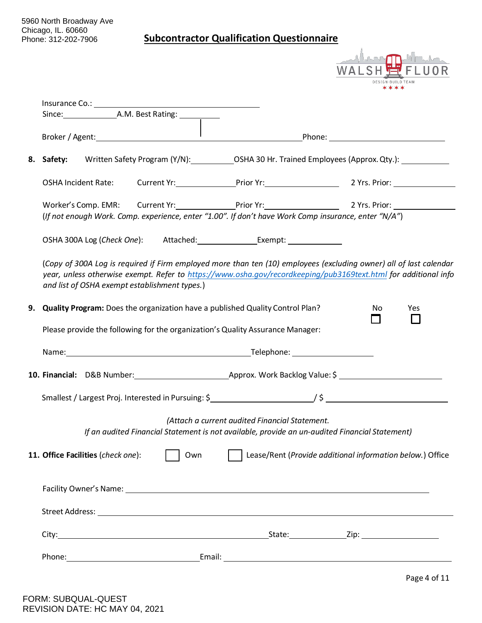|    | 5960 North Broadway Ave<br>Chicago, IL. 60660<br>Phone: 312-202-7906 |                                    |                                               | <b>Subcontractor Qualification Questionnaire</b>                                                                                                                                                                                      |    |     |
|----|----------------------------------------------------------------------|------------------------------------|-----------------------------------------------|---------------------------------------------------------------------------------------------------------------------------------------------------------------------------------------------------------------------------------------|----|-----|
|    |                                                                      |                                    |                                               |                                                                                                                                                                                                                                       |    |     |
|    |                                                                      |                                    |                                               |                                                                                                                                                                                                                                       |    |     |
|    |                                                                      |                                    |                                               |                                                                                                                                                                                                                                       |    |     |
|    |                                                                      |                                    |                                               |                                                                                                                                                                                                                                       |    |     |
|    | 8. Safety:                                                           |                                    |                                               | Written Safety Program (Y/N): COSHA 30 Hr. Trained Employees (Approx. Qty.):                                                                                                                                                          |    |     |
|    |                                                                      |                                    |                                               | OSHA Incident Rate: Current Yr: Prior Yr: Prior Yr: 2 Yrs. Prior:                                                                                                                                                                     |    |     |
|    |                                                                      |                                    |                                               | Worker's Comp. EMR: Current Yr: Prior Yr: Prior Yr: 2 Yrs. Prior:<br>(If not enough Work. Comp. experience, enter "1.00". If don't have Work Comp insurance, enter "N/A")                                                             |    |     |
|    |                                                                      |                                    |                                               |                                                                                                                                                                                                                                       |    |     |
|    |                                                                      |                                    | and list of OSHA exempt establishment types.) | (Copy of 300A Log is required if Firm employed more than ten (10) employees (excluding owner) all of last calendar<br>year, unless otherwise exempt. Refer to https://www.osha.gov/recordkeeping/pub3169text.html for additional info |    |     |
| 9. |                                                                      |                                    |                                               | Quality Program: Does the organization have a published Quality Control Plan?<br>Please provide the following for the organization's Quality Assurance Manager:                                                                       | No | Yes |
|    |                                                                      |                                    |                                               |                                                                                                                                                                                                                                       |    |     |
|    |                                                                      |                                    |                                               |                                                                                                                                                                                                                                       |    |     |
|    |                                                                      |                                    |                                               |                                                                                                                                                                                                                                       |    |     |
|    |                                                                      |                                    |                                               | (Attach a current audited Financial Statement.<br>If an audited Financial Statement is not available, provide an un-audited Financial Statement)                                                                                      |    |     |
|    |                                                                      | 11. Office Facilities (check one): | Own                                           | Lease/Rent (Provide additional information below.) Office                                                                                                                                                                             |    |     |
|    |                                                                      |                                    |                                               |                                                                                                                                                                                                                                       |    |     |
|    |                                                                      |                                    |                                               | Street Address: <u>Alexander Street Address:</u> Alexander Street Address: Alexander Street Address: Alexander Street Address: Alexander Street Address: Alexander Street Address: Alexander Street Address: Alexander Street Addre   |    |     |
|    |                                                                      |                                    |                                               |                                                                                                                                                                                                                                       |    |     |
|    |                                                                      |                                    |                                               |                                                                                                                                                                                                                                       |    |     |
|    |                                                                      |                                    |                                               |                                                                                                                                                                                                                                       |    |     |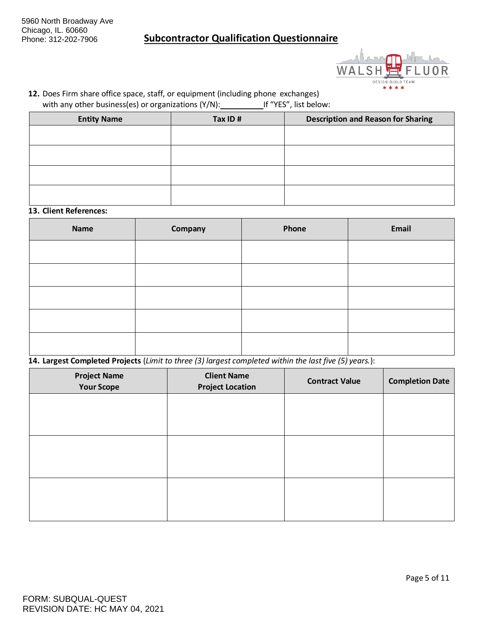

**12.** Does Firm share office space, staff, or equipment (including phone exchanges) with any other business(es) or organizations (Y/N): If "YES", list below:

| <b>Entity Name</b> | Tax ID# | <b>Description and Reason for Sharing</b> |
|--------------------|---------|-------------------------------------------|
|                    |         |                                           |
|                    |         |                                           |
|                    |         |                                           |
|                    |         |                                           |
|                    |         |                                           |
|                    |         |                                           |

#### **13. Client References:**

| <b>Name</b> | Company | Phone | Email |
|-------------|---------|-------|-------|
|             |         |       |       |
|             |         |       |       |
|             |         |       |       |
|             |         |       |       |
|             |         |       |       |

**14. Largest Completed Projects** (*Limit to three (3) largest completed within the last five (5) years.*):

| <b>Project Name</b><br><b>Your Scope</b> | <b>Client Name</b><br><b>Project Location</b> | <b>Contract Value</b> | <b>Completion Date</b> |
|------------------------------------------|-----------------------------------------------|-----------------------|------------------------|
|                                          |                                               |                       |                        |
|                                          |                                               |                       |                        |
|                                          |                                               |                       |                        |
|                                          |                                               |                       |                        |
|                                          |                                               |                       |                        |
|                                          |                                               |                       |                        |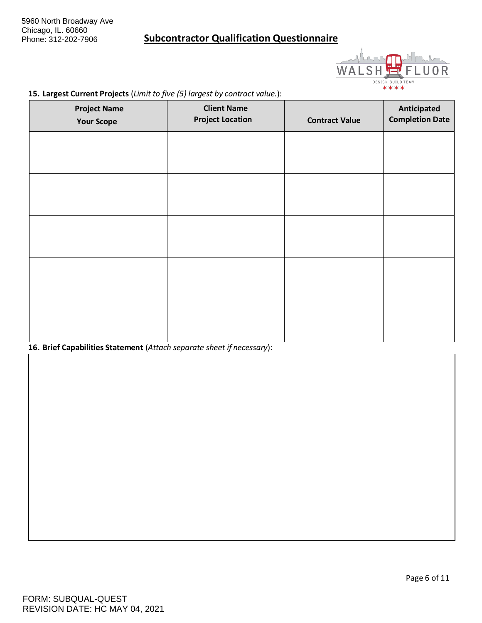

#### **15. Largest Current Projects** (*Limit to five (5) largest by contract value.*):

| <b>Project Name</b><br><b>Your Scope</b> | <b>Client Name</b><br><b>Project Location</b> | <b>Contract Value</b> | Anticipated<br><b>Completion Date</b> |
|------------------------------------------|-----------------------------------------------|-----------------------|---------------------------------------|
|                                          |                                               |                       |                                       |
|                                          |                                               |                       |                                       |
|                                          |                                               |                       |                                       |
|                                          |                                               |                       |                                       |
|                                          |                                               |                       |                                       |
|                                          |                                               |                       |                                       |
|                                          |                                               |                       |                                       |

#### **16. Brief Capabilities Statement** (*Attach separate sheet if necessary*):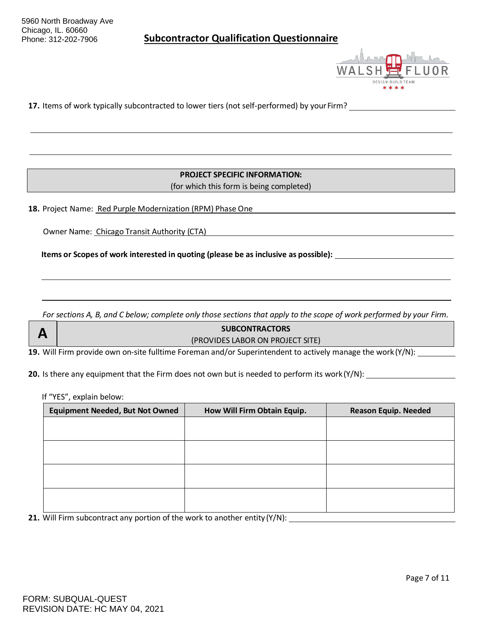

**17.** Items of work typically subcontracted to lower tiers (not self-performed) by your Firm?

**PROJECT SPECIFIC INFORMATION:** (for which this form is being completed)

**18.** Project Name: Red Purple Modernization (RPM) Phase One

Owner Name: Chicago Transit Authority (CTA)

**Items or Scopes of work interested in quoting (please be as inclusive as possible):** 

For sections A, B, and C below; complete only those sections that apply to the scope of work performed by your Firm.

#### **SUBCONTRACTORS** (PROVIDES LABOR ON PROJECT SITE)

**19.** Will Firm provide own on-site fulltime Foreman and/or Superintendent to actively manage the work (Y/N):

**20.** Is there any equipment that the Firm does not own but is needed to perform its work(Y/N):

If "YES", explain below:

| <b>Equipment Needed, But Not Owned</b> | How Will Firm Obtain Equip. | <b>Reason Equip. Needed</b> |
|----------------------------------------|-----------------------------|-----------------------------|
|                                        |                             |                             |
|                                        |                             |                             |
|                                        |                             |                             |
|                                        |                             |                             |
|                                        |                             |                             |
|                                        |                             |                             |
|                                        |                             |                             |
|                                        |                             |                             |

**21.** Will Firm subcontract any portion of the work to another entity (Y/N):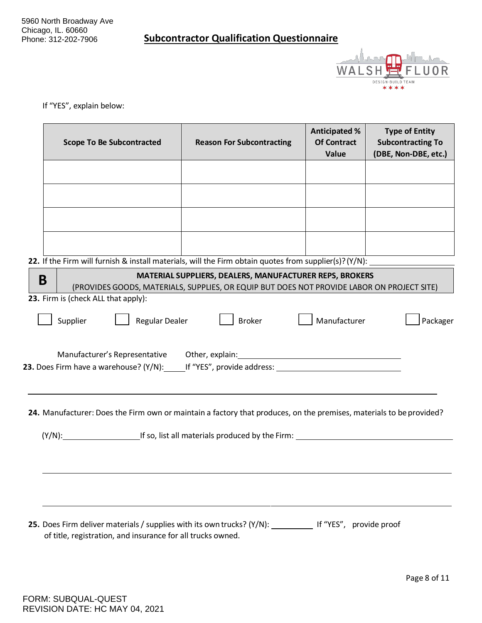

If "YES", explain below:

|   | <b>Scope To Be Subcontracted</b>                                                                                                                                         | <b>Reason For Subcontracting</b>                                                                                                                      | <b>Anticipated %</b><br><b>Of Contract</b><br>Value | <b>Type of Entity</b><br><b>Subcontracting To</b><br>(DBE, Non-DBE, etc.) |
|---|--------------------------------------------------------------------------------------------------------------------------------------------------------------------------|-------------------------------------------------------------------------------------------------------------------------------------------------------|-----------------------------------------------------|---------------------------------------------------------------------------|
|   |                                                                                                                                                                          |                                                                                                                                                       |                                                     |                                                                           |
|   |                                                                                                                                                                          |                                                                                                                                                       |                                                     |                                                                           |
|   |                                                                                                                                                                          |                                                                                                                                                       |                                                     |                                                                           |
|   |                                                                                                                                                                          |                                                                                                                                                       |                                                     |                                                                           |
|   | 22. If the Firm will furnish & install materials, will the Firm obtain quotes from supplier(s)?(Y/N):                                                                    |                                                                                                                                                       |                                                     |                                                                           |
| B |                                                                                                                                                                          | MATERIAL SUPPLIERS, DEALERS, MANUFACTURER REPS, BROKERS<br>(PROVIDES GOODS, MATERIALS, SUPPLIES, OR EQUIP BUT DOES NOT PROVIDE LABOR ON PROJECT SITE) |                                                     |                                                                           |
|   | 23. Firm is (check ALL that apply):                                                                                                                                      |                                                                                                                                                       |                                                     |                                                                           |
|   | Supplier<br><b>Regular Dealer</b>                                                                                                                                        | <b>Broker</b>                                                                                                                                         | Manufacturer                                        | Packager                                                                  |
|   |                                                                                                                                                                          |                                                                                                                                                       |                                                     |                                                                           |
|   | 23. Does Firm have a warehouse? (Y/N): If "YES", provide address: Universed that the manner of the set of the                                                            |                                                                                                                                                       |                                                     |                                                                           |
|   | 24. Manufacturer: Does the Firm own or maintain a factory that produces, on the premises, materials to be provided?                                                      |                                                                                                                                                       |                                                     |                                                                           |
|   | (Y/N): If so, list all materials produced by the Firm:                                                                                                                   |                                                                                                                                                       |                                                     |                                                                           |
|   |                                                                                                                                                                          |                                                                                                                                                       |                                                     |                                                                           |
|   |                                                                                                                                                                          |                                                                                                                                                       |                                                     |                                                                           |
|   |                                                                                                                                                                          |                                                                                                                                                       |                                                     |                                                                           |
|   | 25. Does Firm deliver materials / supplies with its own trucks? (Y/N): __________ If "YES", provide proof<br>of title, registration, and insurance for all trucks owned. |                                                                                                                                                       |                                                     |                                                                           |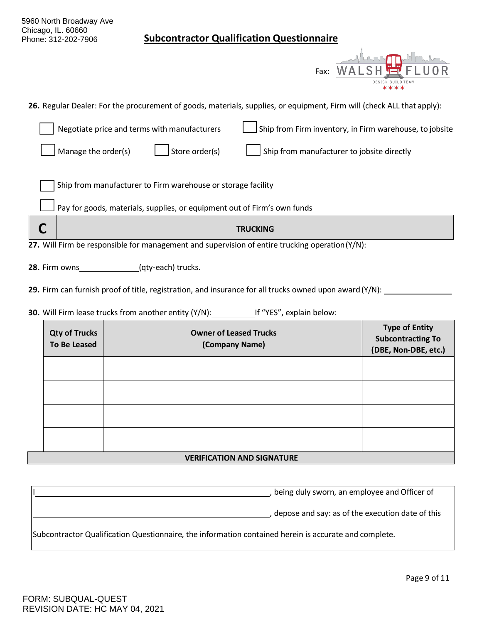| 5960 North Broadway Ave<br>Chicago, IL. 60660<br><b>Subcontractor Qualification Questionnaire</b><br>Phone: 312-202-7906 |                                                                           |  |  |
|--------------------------------------------------------------------------------------------------------------------------|---------------------------------------------------------------------------|--|--|
| Fax:                                                                                                                     |                                                                           |  |  |
| 26. Regular Dealer: For the procurement of goods, materials, supplies, or equipment, Firm will (check ALL that apply):   |                                                                           |  |  |
| Ship from Firm inventory, in Firm warehouse, to jobsite<br>Negotiate price and terms with manufacturers                  |                                                                           |  |  |
| Store order(s)<br>Manage the order(s)<br>Ship from manufacturer to jobsite directly                                      |                                                                           |  |  |
| Ship from manufacturer to Firm warehouse or storage facility                                                             |                                                                           |  |  |
| Pay for goods, materials, supplies, or equipment out of Firm's own funds                                                 |                                                                           |  |  |
| C<br><b>TRUCKING</b>                                                                                                     |                                                                           |  |  |
| 27. Will Firm be responsible for management and supervision of entire trucking operation (Y/N):                          |                                                                           |  |  |
| <b>28.</b> Firm owns (qty-each) trucks.                                                                                  |                                                                           |  |  |
| 29. Firm can furnish proof of title, registration, and insurance for all trucks owned upon award $(Y/N)$ :               |                                                                           |  |  |
| 30. Will Firm lease trucks from another entity (Y/N): If "YES", explain below:                                           |                                                                           |  |  |
| <b>Qty of Trucks</b><br><b>Owner of Leased Trucks</b><br><b>To Be Leased</b><br>(Company Name)                           | <b>Type of Entity</b><br><b>Subcontracting To</b><br>(DBE, Non-DBE, etc.) |  |  |
|                                                                                                                          |                                                                           |  |  |
|                                                                                                                          |                                                                           |  |  |

### **VERIFICATION AND SIGNATURE**

| being duly sworn, an employee and Officer of                                                          |
|-------------------------------------------------------------------------------------------------------|
| depose and say: as of the execution date of this                                                      |
| Subcontractor Qualification Questionnaire, the information contained herein is accurate and complete. |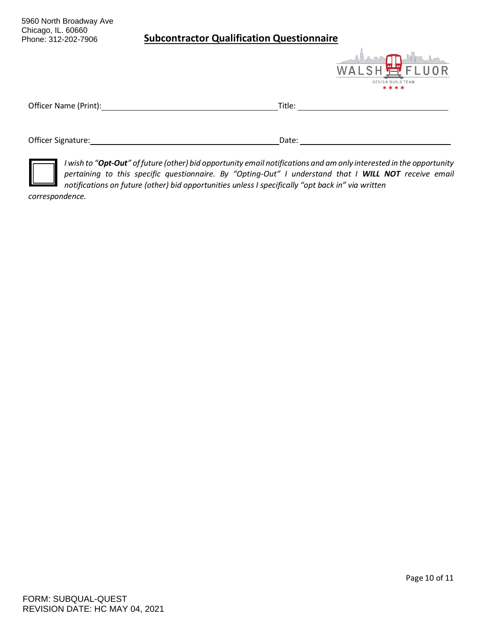5960 North Broadway Ave Chicago, IL. 60660 Phone: 312-202-7906

### **Subcontractor Qualification Questionnaire**



| Officer Name (Print): | Title: |
|-----------------------|--------|
|                       |        |
| Officer Signature:    | Date:  |



*I wish to "Opt-Out" of future (other) bid opportunity email notifications and am only interested in the opportunity pertaining to this specific questionnaire. By "Opting-Out" I understand that I WILL NOT receive email notifications on future (other) bid opportunities unless I specifically "opt back in" via written*

*correspondence.*